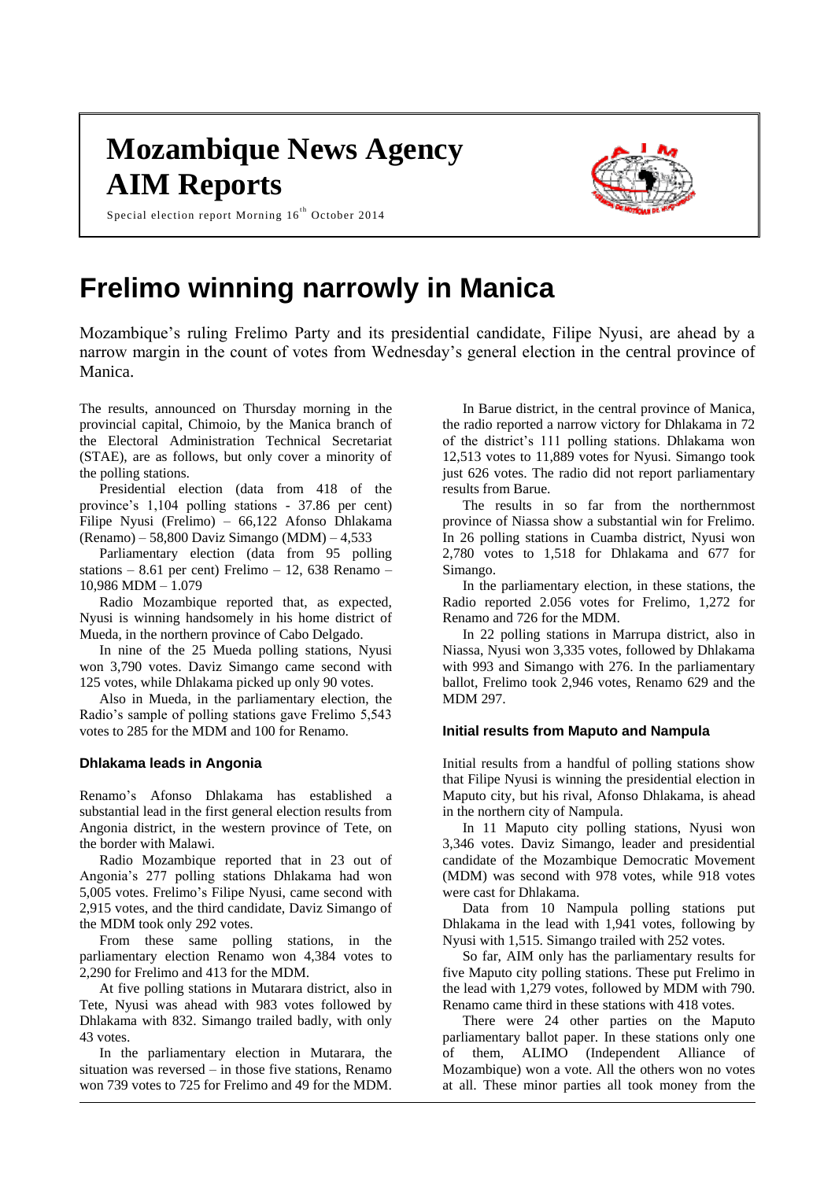# **Mozambique News Agency AIM Reports**



Special election report Morning  $16^{th}$  October 2014

## **Frelimo winning narrowly in Manica**

Mozambique's ruling Frelimo Party and its presidential candidate, Filipe Nyusi, are ahead by a narrow margin in the count of votes from Wednesday's general election in the central province of Manica.

The results, announced on Thursday morning in the provincial capital, Chimoio, by the Manica branch of the Electoral Administration Technical Secretariat (STAE), are as follows, but only cover a minority of the polling stations.

Presidential election (data from 418 of the province's 1,104 polling stations - 37.86 per cent) Filipe Nyusi (Frelimo) – 66,122 Afonso Dhlakama (Renamo) – 58,800 Daviz Simango (MDM) – 4,533

Parliamentary election (data from 95 polling stations – 8.61 per cent) Frelimo – 12, 638 Renamo – 10,986 MDM – 1.079

Radio Mozambique reported that, as expected, Nyusi is winning handsomely in his home district of Mueda, in the northern province of Cabo Delgado.

In nine of the 25 Mueda polling stations, Nyusi won 3,790 votes. Daviz Simango came second with 125 votes, while Dhlakama picked up only 90 votes.

Also in Mueda, in the parliamentary election, the Radio's sample of polling stations gave Frelimo 5,543 votes to 285 for the MDM and 100 for Renamo.

## **Dhlakama leads in Angonia**

Renamo's Afonso Dhlakama has established a substantial lead in the first general election results from Angonia district, in the western province of Tete, on the border with Malawi.

Radio Mozambique reported that in 23 out of Angonia's 277 polling stations Dhlakama had won 5,005 votes. Frelimo's Filipe Nyusi, came second with 2,915 votes, and the third candidate, Daviz Simango of the MDM took only 292 votes.

From these same polling stations, in the parliamentary election Renamo won 4,384 votes to 2,290 for Frelimo and 413 for the MDM.

At five polling stations in Mutarara district, also in Tete, Nyusi was ahead with 983 votes followed by Dhlakama with 832. Simango trailed badly, with only 43 votes.

In the parliamentary election in Mutarara, the situation was reversed – in those five stations, Renamo won 739 votes to 725 for Frelimo and 49 for the MDM.

In Barue district, in the central province of Manica, the radio reported a narrow victory for Dhlakama in 72 of the district's 111 polling stations. Dhlakama won 12,513 votes to 11,889 votes for Nyusi. Simango took just 626 votes. The radio did not report parliamentary results from Barue.

The results in so far from the northernmost province of Niassa show a substantial win for Frelimo. In 26 polling stations in Cuamba district, Nyusi won 2,780 votes to 1,518 for Dhlakama and 677 for Simango.

In the parliamentary election, in these stations, the Radio reported 2.056 votes for Frelimo, 1,272 for Renamo and 726 for the MDM.

In 22 polling stations in Marrupa district, also in Niassa, Nyusi won 3,335 votes, followed by Dhlakama with 993 and Simango with 276. In the parliamentary ballot, Frelimo took 2,946 votes, Renamo 629 and the MDM 297.

## **Initial results from Maputo and Nampula**

Initial results from a handful of polling stations show that Filipe Nyusi is winning the presidential election in Maputo city, but his rival, Afonso Dhlakama, is ahead in the northern city of Nampula.

In 11 Maputo city polling stations, Nyusi won 3,346 votes. Daviz Simango, leader and presidential candidate of the Mozambique Democratic Movement (MDM) was second with 978 votes, while 918 votes were cast for Dhlakama.

Data from 10 Nampula polling stations put Dhlakama in the lead with 1,941 votes, following by Nyusi with 1,515. Simango trailed with 252 votes.

So far, AIM only has the parliamentary results for five Maputo city polling stations. These put Frelimo in the lead with 1,279 votes, followed by MDM with 790. Renamo came third in these stations with 418 votes.

There were 24 other parties on the Maputo parliamentary ballot paper. In these stations only one of them, ALIMO (Independent Alliance of Mozambique) won a vote. All the others won no votes at all. These minor parties all took money from the